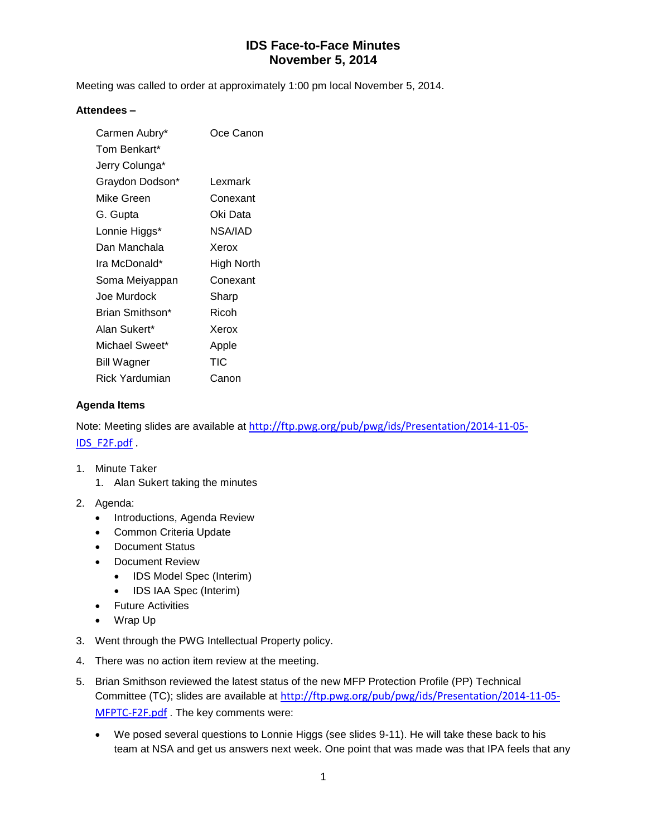Meeting was called to order at approximately 1:00 pm local November 5, 2014.

#### **Attendees –**

| Carmen Aubry*   | Oce Canon  |
|-----------------|------------|
| Tom Benkart*    |            |
| Jerry Colunga*  |            |
| Graydon Dodson* | Lexmark    |
| Mike Green      | Conexant   |
| G. Gupta        | Oki Data   |
| Lonnie Higgs*   | NSA/IAD    |
| Dan Manchala    | Xerox      |
| Ira McDonald*   | High North |
| Soma Meiyappan  | Conexant   |
| Joe Murdock     | Sharp      |
| Brian Smithson* | Ricoh      |
| Alan Sukert*    | Xerox      |
| Michael Sweet*  | Apple      |
| Bill Wagner     | TIC        |
| Rick Yardumian  | Canon      |

#### **Agenda Items**

Note: Meeting slides are available at [http://ftp.pwg.org/pub/pwg/ids/Presentation/2014-11-05-](http://ftp.pwg.org/pub/pwg/ids/Presentation/2014-11-05-IDS_F2F.pdf) [IDS\\_F2F.pdf](http://ftp.pwg.org/pub/pwg/ids/Presentation/2014-11-05-IDS_F2F.pdf) .

- 1. Minute Taker
	- 1. Alan Sukert taking the minutes
- 2. Agenda:
	- Introductions, Agenda Review
	- Common Criteria Update
	- Document Status
	- Document Review
		- IDS Model Spec (Interim)
		- IDS IAA Spec (Interim)
	- Future Activities
	- Wrap Up
- 3. Went through the PWG Intellectual Property policy.
- 4. There was no action item review at the meeting.
- 5. Brian Smithson reviewed the latest status of the new MFP Protection Profile (PP) Technical Committee (TC); slides are available at [http://ftp.pwg.org/pub/pwg/ids/Presentation/2014-11-05-](http://ftp.pwg.org/pub/pwg/ids/Presentation/2014-11-05-MFPTC-F2F.pdf) [MFPTC-F2F.pdf](http://ftp.pwg.org/pub/pwg/ids/Presentation/2014-11-05-MFPTC-F2F.pdf) . The key comments were:
	- We posed several questions to Lonnie Higgs (see slides 9-11). He will take these back to his team at NSA and get us answers next week. One point that was made was that IPA feels that any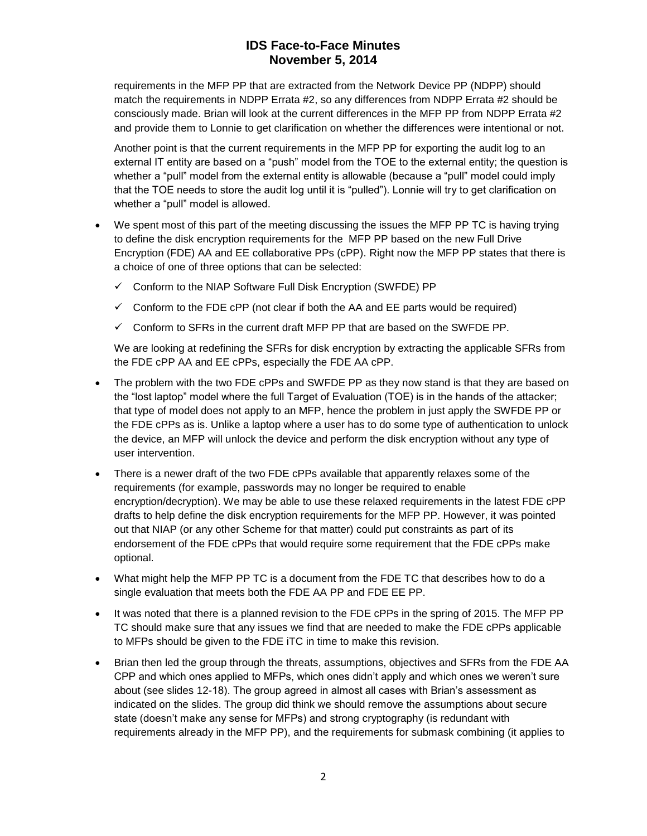requirements in the MFP PP that are extracted from the Network Device PP (NDPP) should match the requirements in NDPP Errata #2, so any differences from NDPP Errata #2 should be consciously made. Brian will look at the current differences in the MFP PP from NDPP Errata #2 and provide them to Lonnie to get clarification on whether the differences were intentional or not.

Another point is that the current requirements in the MFP PP for exporting the audit log to an external IT entity are based on a "push" model from the TOE to the external entity; the question is whether a "pull" model from the external entity is allowable (because a "pull" model could imply that the TOE needs to store the audit log until it is "pulled"). Lonnie will try to get clarification on whether a "pull" model is allowed.

- We spent most of this part of the meeting discussing the issues the MFP PP TC is having trying to define the disk encryption requirements for the MFP PP based on the new Full Drive Encryption (FDE) AA and EE collaborative PPs (cPP). Right now the MFP PP states that there is a choice of one of three options that can be selected:
	- $\checkmark$  Conform to the NIAP Software Full Disk Encryption (SWFDE) PP
	- $\checkmark$  Conform to the FDE cPP (not clear if both the AA and EE parts would be required)
	- $\checkmark$  Conform to SFRs in the current draft MFP PP that are based on the SWFDE PP.

We are looking at redefining the SFRs for disk encryption by extracting the applicable SFRs from the FDE cPP AA and EE cPPs, especially the FDE AA cPP.

- The problem with the two FDE cPPs and SWFDE PP as they now stand is that they are based on the "lost laptop" model where the full Target of Evaluation (TOE) is in the hands of the attacker; that type of model does not apply to an MFP, hence the problem in just apply the SWFDE PP or the FDE cPPs as is. Unlike a laptop where a user has to do some type of authentication to unlock the device, an MFP will unlock the device and perform the disk encryption without any type of user intervention.
- There is a newer draft of the two FDE cPPs available that apparently relaxes some of the requirements (for example, passwords may no longer be required to enable encryption/decryption). We may be able to use these relaxed requirements in the latest FDE cPP drafts to help define the disk encryption requirements for the MFP PP. However, it was pointed out that NIAP (or any other Scheme for that matter) could put constraints as part of its endorsement of the FDE cPPs that would require some requirement that the FDE cPPs make optional.
- What might help the MFP PP TC is a document from the FDE TC that describes how to do a single evaluation that meets both the FDE AA PP and FDE EE PP.
- It was noted that there is a planned revision to the FDE cPPs in the spring of 2015. The MFP PP TC should make sure that any issues we find that are needed to make the FDE cPPs applicable to MFPs should be given to the FDE iTC in time to make this revision.
- Brian then led the group through the threats, assumptions, objectives and SFRs from the FDE AA CPP and which ones applied to MFPs, which ones didn't apply and which ones we weren't sure about (see slides 12-18). The group agreed in almost all cases with Brian's assessment as indicated on the slides. The group did think we should remove the assumptions about secure state (doesn't make any sense for MFPs) and strong cryptography (is redundant with requirements already in the MFP PP), and the requirements for submask combining (it applies to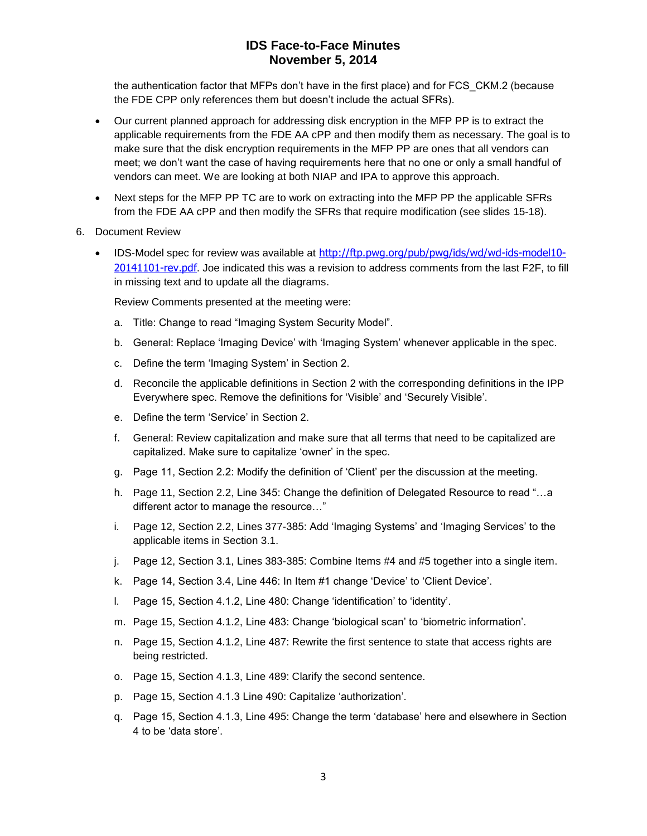the authentication factor that MFPs don't have in the first place) and for FCS\_CKM.2 (because the FDE CPP only references them but doesn't include the actual SFRs).

- Our current planned approach for addressing disk encryption in the MFP PP is to extract the applicable requirements from the FDE AA cPP and then modify them as necessary. The goal is to make sure that the disk encryption requirements in the MFP PP are ones that all vendors can meet; we don't want the case of having requirements here that no one or only a small handful of vendors can meet. We are looking at both NIAP and IPA to approve this approach.
- Next steps for the MFP PP TC are to work on extracting into the MFP PP the applicable SFRs from the FDE AA cPP and then modify the SFRs that require modification (see slides 15-18).
- 6. Document Review
	- IDS-Model spec for review was available at [http://ftp.pwg.org/pub/pwg/ids/wd/wd-ids-model10-](http://ftp.pwg.org/pub/pwg/ids/wd/wd-ids-model10-20141101-rev.pdf) [20141101-rev.pdf](http://ftp.pwg.org/pub/pwg/ids/wd/wd-ids-model10-20141101-rev.pdf). Joe indicated this was a revision to address comments from the last F2F, to fill in missing text and to update all the diagrams.

Review Comments presented at the meeting were:

- a. Title: Change to read "Imaging System Security Model".
- b. General: Replace 'Imaging Device' with 'Imaging System' whenever applicable in the spec.
- c. Define the term 'Imaging System' in Section 2.
- d. Reconcile the applicable definitions in Section 2 with the corresponding definitions in the IPP Everywhere spec. Remove the definitions for 'Visible' and 'Securely Visible'.
- e. Define the term 'Service' in Section 2.
- f. General: Review capitalization and make sure that all terms that need to be capitalized are capitalized. Make sure to capitalize 'owner' in the spec.
- g. Page 11, Section 2.2: Modify the definition of 'Client' per the discussion at the meeting.
- h. Page 11, Section 2.2, Line 345: Change the definition of Delegated Resource to read "…a different actor to manage the resource…"
- i. Page 12, Section 2.2, Lines 377-385: Add 'Imaging Systems' and 'Imaging Services' to the applicable items in Section 3.1.
- j. Page 12, Section 3.1, Lines 383-385: Combine Items #4 and #5 together into a single item.
- k. Page 14, Section 3.4, Line 446: In Item #1 change 'Device' to 'Client Device'.
- l. Page 15, Section 4.1.2, Line 480: Change 'identification' to 'identity'.
- m. Page 15, Section 4.1.2, Line 483: Change 'biological scan' to 'biometric information'.
- n. Page 15, Section 4.1.2, Line 487: Rewrite the first sentence to state that access rights are being restricted.
- o. Page 15, Section 4.1.3, Line 489: Clarify the second sentence.
- p. Page 15, Section 4.1.3 Line 490: Capitalize 'authorization'.
- q. Page 15, Section 4.1.3, Line 495: Change the term 'database' here and elsewhere in Section 4 to be 'data store'.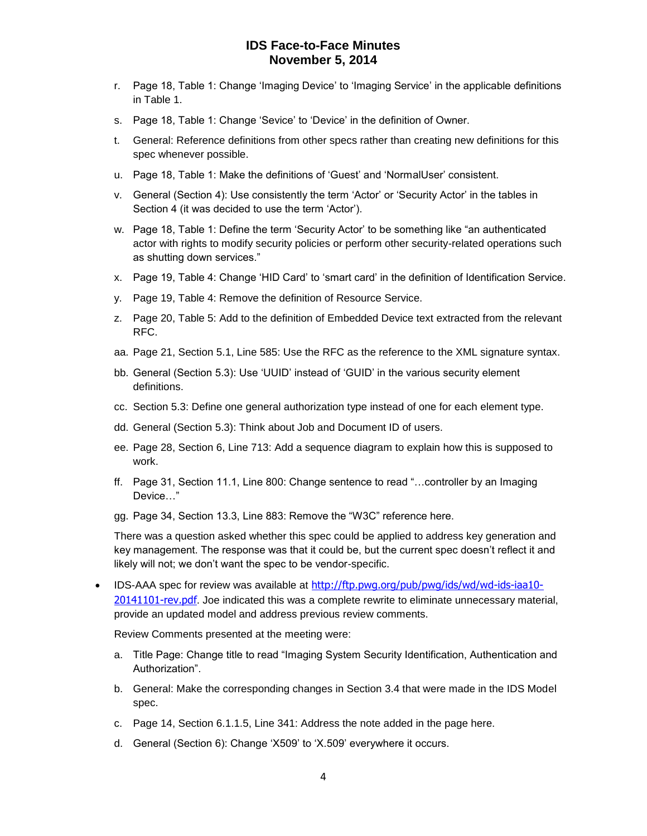- r. Page 18, Table 1: Change 'Imaging Device' to 'Imaging Service' in the applicable definitions in Table 1.
- s. Page 18, Table 1: Change 'Sevice' to 'Device' in the definition of Owner.
- t. General: Reference definitions from other specs rather than creating new definitions for this spec whenever possible.
- u. Page 18, Table 1: Make the definitions of 'Guest' and 'NormalUser' consistent.
- v. General (Section 4): Use consistently the term 'Actor' or 'Security Actor' in the tables in Section 4 (it was decided to use the term 'Actor').
- w. Page 18, Table 1: Define the term 'Security Actor' to be something like "an authenticated actor with rights to modify security policies or perform other security-related operations such as shutting down services."
- x. Page 19, Table 4: Change 'HID Card' to 'smart card' in the definition of Identification Service.
- y. Page 19, Table 4: Remove the definition of Resource Service.
- z. Page 20, Table 5: Add to the definition of Embedded Device text extracted from the relevant RFC.
- aa. Page 21, Section 5.1, Line 585: Use the RFC as the reference to the XML signature syntax.
- bb. General (Section 5.3): Use 'UUID' instead of 'GUID' in the various security element definitions.
- cc. Section 5.3: Define one general authorization type instead of one for each element type.
- dd. General (Section 5.3): Think about Job and Document ID of users.
- ee. Page 28, Section 6, Line 713: Add a sequence diagram to explain how this is supposed to work.
- ff. Page 31, Section 11.1, Line 800: Change sentence to read "…controller by an Imaging Device…"
- gg. Page 34, Section 13.3, Line 883: Remove the "W3C" reference here.

There was a question asked whether this spec could be applied to address key generation and key management. The response was that it could be, but the current spec doesn't reflect it and likely will not; we don't want the spec to be vendor-specific.

• IDS-AAA spec for review was available at [http://ftp.pwg.org/pub/pwg/ids/wd/wd-ids-iaa10-](http://ftp.pwg.org/pub/pwg/ids/wd/wd-ids-iaa10-20141101-rev.pdf) [20141101-rev.pdf](http://ftp.pwg.org/pub/pwg/ids/wd/wd-ids-iaa10-20141101-rev.pdf). Joe indicated this was a complete rewrite to eliminate unnecessary material, provide an updated model and address previous review comments.

Review Comments presented at the meeting were:

- a. Title Page: Change title to read "Imaging System Security Identification, Authentication and Authorization".
- b. General: Make the corresponding changes in Section 3.4 that were made in the IDS Model spec.
- c. Page 14, Section 6.1.1.5, Line 341: Address the note added in the page here.
- d. General (Section 6): Change 'X509' to 'X.509' everywhere it occurs.